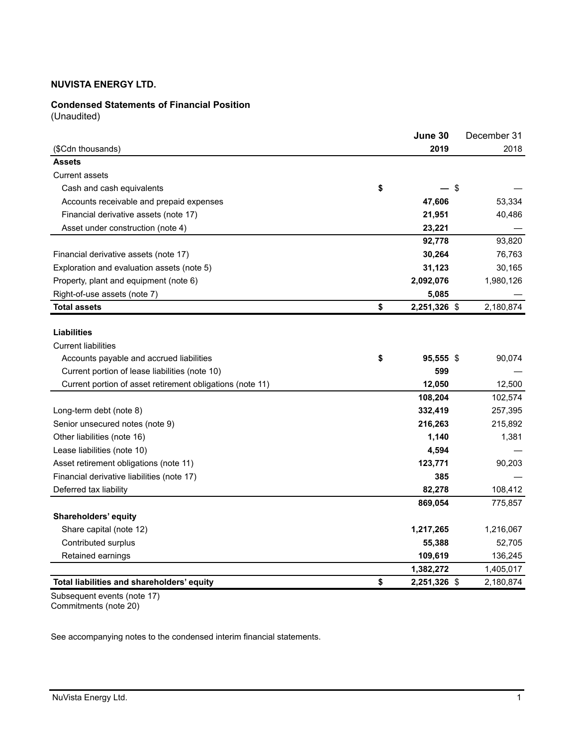# **Condensed Statements of Financial Position**

(Unaudited)

|                                                           | June 30            |      | December 31 |
|-----------------------------------------------------------|--------------------|------|-------------|
| (\$Cdn thousands)                                         | 2019               |      | 2018        |
| <b>Assets</b>                                             |                    |      |             |
| <b>Current assets</b>                                     |                    |      |             |
| Cash and cash equivalents                                 | \$                 | - \$ |             |
| Accounts receivable and prepaid expenses                  | 47,606             |      | 53,334      |
| Financial derivative assets (note 17)                     | 21,951             |      | 40,486      |
| Asset under construction (note 4)                         | 23,221             |      |             |
|                                                           | 92,778             |      | 93,820      |
| Financial derivative assets (note 17)                     | 30,264             |      | 76,763      |
| Exploration and evaluation assets (note 5)                | 31,123             |      | 30,165      |
| Property, plant and equipment (note 6)                    | 2,092,076          |      | 1,980,126   |
| Right-of-use assets (note 7)                              | 5,085              |      |             |
| <b>Total assets</b>                                       | \$<br>2,251,326 \$ |      | 2,180,874   |
|                                                           |                    |      |             |
| <b>Liabilities</b>                                        |                    |      |             |
| <b>Current liabilities</b>                                |                    |      |             |
| Accounts payable and accrued liabilities                  | \$<br>95,555 \$    |      | 90,074      |
| Current portion of lease liabilities (note 10)            | 599                |      |             |
| Current portion of asset retirement obligations (note 11) | 12,050             |      | 12,500      |
|                                                           | 108,204            |      | 102,574     |
| Long-term debt (note 8)                                   | 332,419            |      | 257,395     |
| Senior unsecured notes (note 9)                           | 216,263            |      | 215,892     |
| Other liabilities (note 16)                               | 1,140              |      | 1,381       |
| Lease liabilities (note 10)                               | 4,594              |      |             |
| Asset retirement obligations (note 11)                    | 123,771            |      | 90,203      |
| Financial derivative liabilities (note 17)                | 385                |      |             |
| Deferred tax liability                                    | 82,278             |      | 108,412     |
|                                                           | 869,054            |      | 775,857     |
| Shareholders' equity                                      |                    |      |             |
| Share capital (note 12)                                   | 1,217,265          |      | 1,216,067   |
| Contributed surplus                                       | 55,388             |      | 52,705      |
| Retained earnings                                         | 109,619            |      | 136,245     |
|                                                           | 1,382,272          |      | 1,405,017   |
| Total liabilities and shareholders' equity                | \$<br>2,251,326 \$ |      | 2,180,874   |

Subsequent events (note 17) Commitments (note 20)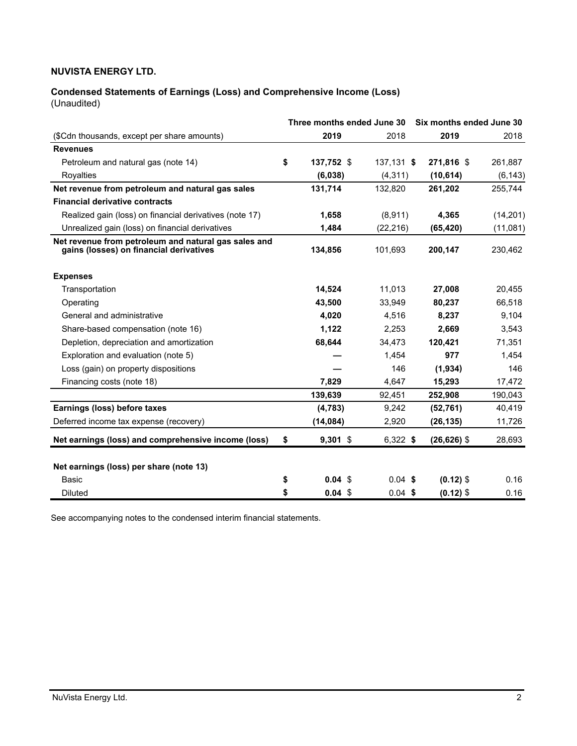# **Condensed Statements of Earnings (Loss) and Comprehensive Income (Loss)**

(Unaudited)

|                                                                                                 | Three months ended June 30 |              | Six months ended June 30 |           |
|-------------------------------------------------------------------------------------------------|----------------------------|--------------|--------------------------|-----------|
| (\$Cdn thousands, except per share amounts)                                                     | 2019                       | 2018         | 2019                     | 2018      |
| <b>Revenues</b>                                                                                 |                            |              |                          |           |
| Petroleum and natural gas (note 14)                                                             | \$<br>137,752 \$           | $137,131$ \$ | 271,816 \$               | 261,887   |
| Royalties                                                                                       | (6,038)                    | (4, 311)     | (10, 614)                | (6, 143)  |
| Net revenue from petroleum and natural gas sales                                                | 131,714                    | 132,820      | 261,202                  | 255,744   |
| <b>Financial derivative contracts</b>                                                           |                            |              |                          |           |
| Realized gain (loss) on financial derivatives (note 17)                                         | 1,658                      | (8,911)      | 4,365                    | (14, 201) |
| Unrealized gain (loss) on financial derivatives                                                 | 1,484                      | (22, 216)    | (65, 420)                | (11,081)  |
| Net revenue from petroleum and natural gas sales and<br>gains (losses) on financial derivatives | 134,856                    | 101,693      | 200,147                  | 230,462   |
| <b>Expenses</b>                                                                                 |                            |              |                          |           |
| Transportation                                                                                  | 14,524                     | 11,013       | 27,008                   | 20,455    |
| Operating                                                                                       | 43,500                     | 33.949       | 80.237                   | 66,518    |
| General and administrative                                                                      | 4,020                      | 4,516        | 8,237                    | 9,104     |
| Share-based compensation (note 16)                                                              | 1,122                      | 2,253        | 2,669                    | 3,543     |
| Depletion, depreciation and amortization                                                        | 68,644                     | 34,473       | 120,421                  | 71,351    |
| Exploration and evaluation (note 5)                                                             |                            | 1,454        | 977                      | 1,454     |
| Loss (gain) on property dispositions                                                            |                            | 146          | (1,934)                  | 146       |
| Financing costs (note 18)                                                                       | 7,829                      | 4,647        | 15,293                   | 17,472    |
|                                                                                                 | 139,639                    | 92,451       | 252,908                  | 190,043   |
| Earnings (loss) before taxes                                                                    | (4,783)                    | 9,242        | (52, 761)                | 40,419    |
| Deferred income tax expense (recovery)                                                          | (14, 084)                  | 2,920        | (26, 135)                | 11,726    |
| Net earnings (loss) and comprehensive income (loss)                                             | \$<br>$9,301$ \$           | $6,322$ \$   | $(26, 626)$ \$           | 28,693    |
| Net earnings (loss) per share (note 13)                                                         |                            |              |                          |           |
| <b>Basic</b>                                                                                    | \$<br>$0.04$ \$            | $0.04$ \$    | $(0.12)$ \$              | 0.16      |
| <b>Diluted</b>                                                                                  | \$<br>$0.04$ \$            | $0.04$ \$    | $(0.12)$ \$              | 0.16      |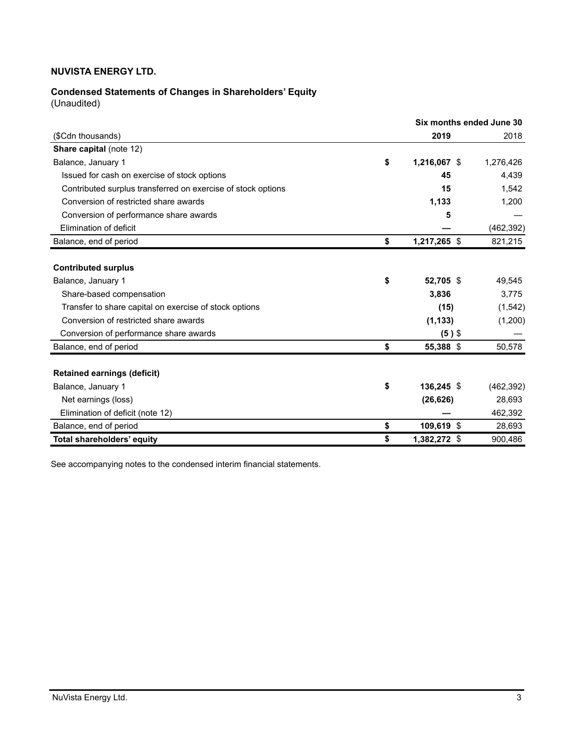# **Condensed Statements of Changes in Shareholders' Equity**

(Unaudited)

|                                                              | Six months ended June 30 |            |
|--------------------------------------------------------------|--------------------------|------------|
| (\$Cdn thousands)                                            | 2019                     | 2018       |
| Share capital (note 12)                                      |                          |            |
| Balance, January 1                                           | \$<br>1,216,067 \$       | 1,276,426  |
| Issued for cash on exercise of stock options                 | 45                       | 4,439      |
| Contributed surplus transferred on exercise of stock options | 15                       | 1,542      |
| Conversion of restricted share awards                        | 1,133                    | 1,200      |
| Conversion of performance share awards                       | 5                        |            |
| Elimination of deficit                                       |                          | (462, 392) |
| Balance, end of period                                       | \$<br>1,217,265 \$       | 821,215    |
|                                                              |                          |            |
| <b>Contributed surplus</b>                                   |                          |            |
| Balance, January 1                                           | \$<br>52,705 \$          | 49,545     |
| Share-based compensation                                     | 3,836                    | 3,775      |
| Transfer to share capital on exercise of stock options       | (15)                     | (1,542)    |
| Conversion of restricted share awards                        | (1, 133)                 | (1,200)    |
| Conversion of performance share awards                       | $(5)$ \$                 |            |
| Balance, end of period                                       | \$<br>55,388 \$          | 50,578     |
|                                                              |                          |            |
| <b>Retained earnings (deficit)</b>                           |                          |            |
| Balance, January 1                                           | \$<br>136,245 \$         | (462, 392) |
| Net earnings (loss)                                          | (26, 626)                | 28,693     |
| Elimination of deficit (note 12)                             |                          | 462,392    |
| Balance, end of period                                       | \$<br>109,619 \$         | 28,693     |
| Total shareholders' equity                                   | \$<br>1,382,272 \$       | 900,486    |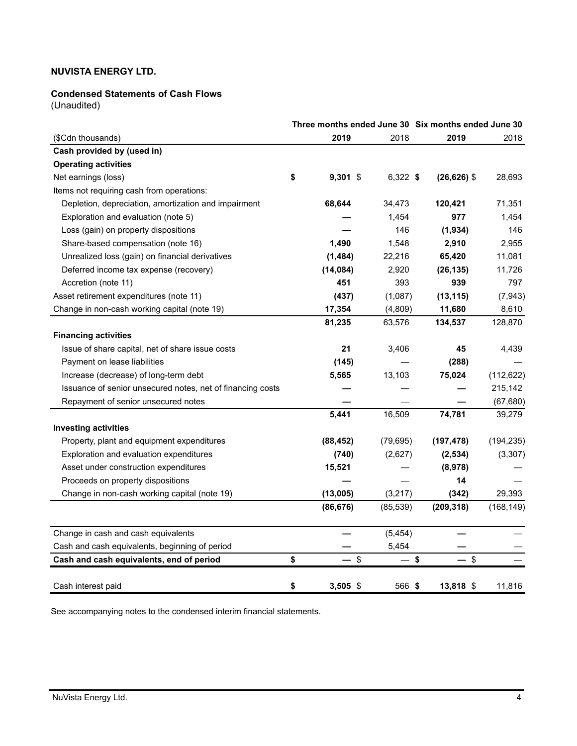#### **Condensed Statements of Cash Flows**

(Unaudited)

| Three months ended June 30 Six months ended June 30        |    |           |           |                |            |
|------------------------------------------------------------|----|-----------|-----------|----------------|------------|
| (\$Cdn thousands)                                          |    | 2019      | 2018      | 2019           | 2018       |
| Cash provided by (used in)                                 |    |           |           |                |            |
| <b>Operating activities</b>                                |    |           |           |                |            |
| Net earnings (loss)                                        | \$ | 9,301 \$  | 6,322 \$  | $(26, 626)$ \$ | 28,693     |
| Items not requiring cash from operations:                  |    |           |           |                |            |
| Depletion, depreciation, amortization and impairment       |    | 68,644    | 34,473    | 120,421        | 71,351     |
| Exploration and evaluation (note 5)                        |    |           | 1,454     | 977            | 1,454      |
| Loss (gain) on property dispositions                       |    |           | 146       | (1,934)        | 146        |
| Share-based compensation (note 16)                         |    | 1,490     | 1,548     | 2,910          | 2,955      |
| Unrealized loss (gain) on financial derivatives            |    | (1,484)   | 22,216    | 65,420         | 11,081     |
| Deferred income tax expense (recovery)                     |    | (14, 084) | 2,920     | (26, 135)      | 11,726     |
| Accretion (note 11)                                        |    | 451       | 393       | 939            | 797        |
| Asset retirement expenditures (note 11)                    |    | (437)     | (1,087)   | (13, 115)      | (7, 943)   |
| Change in non-cash working capital (note 19)               |    | 17,354    | (4,809)   | 11,680         | 8,610      |
|                                                            |    | 81,235    | 63,576    | 134,537        | 128,870    |
| <b>Financing activities</b>                                |    |           |           |                |            |
| Issue of share capital, net of share issue costs           |    | 21        | 3,406     | 45             | 4,439      |
| Payment on lease liabilities                               |    | (145)     |           | (288)          |            |
| Increase (decrease) of long-term debt                      |    | 5,565     | 13,103    | 75,024         | (112, 622) |
| Issuance of senior unsecured notes, net of financing costs |    |           |           |                | 215,142    |
| Repayment of senior unsecured notes                        |    |           |           |                | (67, 680)  |
|                                                            |    | 5,441     | 16,509    | 74,781         | 39,279     |
| <b>Investing activities</b>                                |    |           |           |                |            |
| Property, plant and equipment expenditures                 |    | (88, 452) | (79, 695) | (197, 478)     | (194, 235) |
| Exploration and evaluation expenditures                    |    | (740)     | (2,627)   | (2, 534)       | (3,307)    |
| Asset under construction expenditures                      |    | 15,521    |           | (8,978)        |            |
| Proceeds on property dispositions                          |    |           |           | 14             |            |
| Change in non-cash working capital (note 19)               |    | (13,005)  | (3,217)   | (342)          | 29,393     |
|                                                            |    | (86, 676) | (85, 539) | (209, 318)     | (168, 149) |
| Change in cash and cash equivalents                        |    |           | (5, 454)  |                |            |
| Cash and cash equivalents, beginning of period             |    |           | 5,454     |                |            |
| Cash and cash equivalents, end of period                   | \$ | \$        |           | \$<br>\$       |            |
| Cash interest paid                                         | \$ | 3,505 \$  | 566 \$    | 13,818 \$      | 11,816     |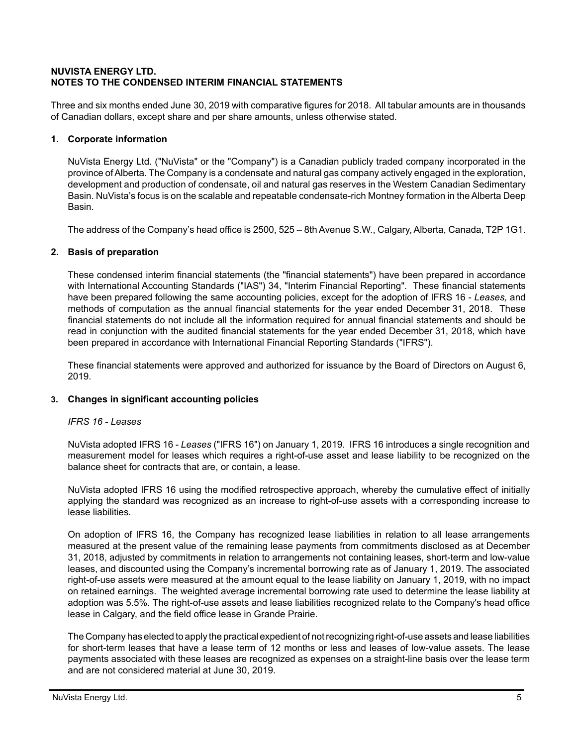# **NUVISTA ENERGY LTD. NOTES TO THE CONDENSED INTERIM FINANCIAL STATEMENTS**

Three and six months ended June 30, 2019 with comparative figures for 2018. All tabular amounts are in thousands of Canadian dollars, except share and per share amounts, unless otherwise stated.

# **1. Corporate information**

NuVista Energy Ltd. ("NuVista" or the "Company") is a Canadian publicly traded company incorporated in the province of Alberta. The Company is a condensate and natural gas company actively engaged in the exploration, development and production of condensate, oil and natural gas reserves in the Western Canadian Sedimentary Basin. NuVista's focus is on the scalable and repeatable condensate-rich Montney formation in the Alberta Deep Basin.

The address of the Company's head office is 2500, 525 – 8th Avenue S.W., Calgary, Alberta, Canada, T2P 1G1.

# **2. Basis of preparation**

These condensed interim financial statements (the "financial statements") have been prepared in accordance with International Accounting Standards ("IAS") 34, "Interim Financial Reporting". These financial statements have been prepared following the same accounting policies, except for the adoption of IFRS 16 - *Leases,* and methods of computation as the annual financial statements for the year ended December 31, 2018. These financial statements do not include all the information required for annual financial statements and should be read in conjunction with the audited financial statements for the year ended December 31, 2018, which have been prepared in accordance with International Financial Reporting Standards ("IFRS").

These financial statements were approved and authorized for issuance by the Board of Directors on August 6, 2019.

# **3. Changes in significant accounting policies**

# *IFRS 16 - Leases*

NuVista adopted IFRS 16 - *Leases* ("IFRS 16") on January 1, 2019. IFRS 16 introduces a single recognition and measurement model for leases which requires a right-of-use asset and lease liability to be recognized on the balance sheet for contracts that are, or contain, a lease.

NuVista adopted IFRS 16 using the modified retrospective approach, whereby the cumulative effect of initially applying the standard was recognized as an increase to right-of-use assets with a corresponding increase to lease liabilities.

On adoption of IFRS 16, the Company has recognized lease liabilities in relation to all lease arrangements measured at the present value of the remaining lease payments from commitments disclosed as at December 31, 2018, adjusted by commitments in relation to arrangements not containing leases, short-term and low-value leases, and discounted using the Company's incremental borrowing rate as of January 1, 2019. The associated right-of-use assets were measured at the amount equal to the lease liability on January 1, 2019, with no impact on retained earnings. The weighted average incremental borrowing rate used to determine the lease liability at adoption was 5.5%. The right-of-use assets and lease liabilities recognized relate to the Company's head office lease in Calgary, and the field office lease in Grande Prairie.

The Company has elected to apply the practical expedient of not recognizing right-of-use assets and lease liabilities for short-term leases that have a lease term of 12 months or less and leases of low-value assets. The lease payments associated with these leases are recognized as expenses on a straight-line basis over the lease term and are not considered material at June 30, 2019.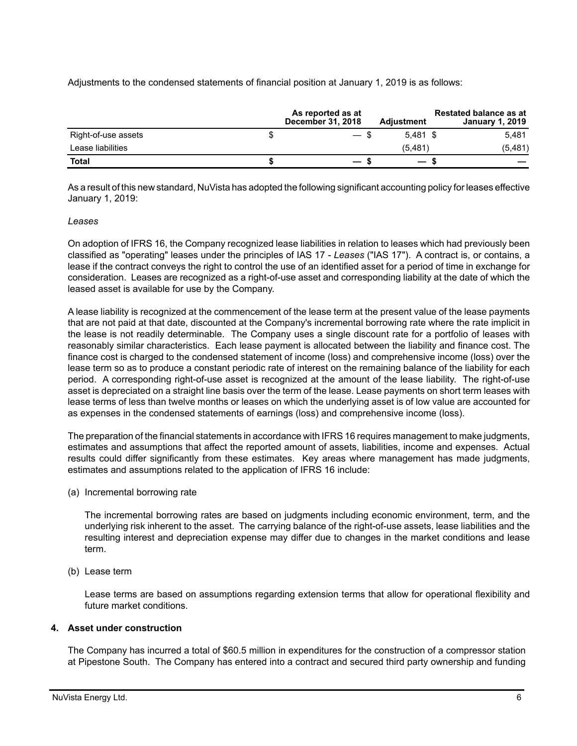Adjustments to the condensed statements of financial position at January 1, 2019 is as follows:

|                     | As reported as at<br><b>December 31, 2018</b> | <b>Adjustment</b>        | <b>Restated balance as at</b><br><b>January 1, 2019</b> |
|---------------------|-----------------------------------------------|--------------------------|---------------------------------------------------------|
| Right-of-use assets | — \$                                          | $5.481$ \$               | 5.481                                                   |
| Lease liabilities   |                                               | (5.481)                  | (5,481)                                                 |
| Total               |                                               | $\overline{\phantom{0}}$ |                                                         |

As a result of this new standard, NuVista has adopted the following significant accounting policy for leases effective January 1, 2019:

# *Leases*

On adoption of IFRS 16, the Company recognized lease liabilities in relation to leases which had previously been classified as "operating" leases under the principles of IAS 17 - *Leases* ("IAS 17"). A contract is, or contains, a lease if the contract conveys the right to control the use of an identified asset for a period of time in exchange for consideration. Leases are recognized as a right-of-use asset and corresponding liability at the date of which the leased asset is available for use by the Company.

A lease liability is recognized at the commencement of the lease term at the present value of the lease payments that are not paid at that date, discounted at the Company's incremental borrowing rate where the rate implicit in the lease is not readily determinable. The Company uses a single discount rate for a portfolio of leases with reasonably similar characteristics. Each lease payment is allocated between the liability and finance cost. The finance cost is charged to the condensed statement of income (loss) and comprehensive income (loss) over the lease term so as to produce a constant periodic rate of interest on the remaining balance of the liability for each period. A corresponding right-of-use asset is recognized at the amount of the lease liability. The right-of-use asset is depreciated on a straight line basis over the term of the lease. Lease payments on short term leases with lease terms of less than twelve months or leases on which the underlying asset is of low value are accounted for as expenses in the condensed statements of earnings (loss) and comprehensive income (loss).

The preparation of the financial statements in accordance with IFRS 16 requires management to make judgments, estimates and assumptions that affect the reported amount of assets, liabilities, income and expenses. Actual results could differ significantly from these estimates. Key areas where management has made judgments, estimates and assumptions related to the application of IFRS 16 include:

(a) Incremental borrowing rate

The incremental borrowing rates are based on judgments including economic environment, term, and the underlying risk inherent to the asset. The carrying balance of the right-of-use assets, lease liabilities and the resulting interest and depreciation expense may differ due to changes in the market conditions and lease term.

(b) Lease term

Lease terms are based on assumptions regarding extension terms that allow for operational flexibility and future market conditions.

# **4. Asset under construction**

The Company has incurred a total of \$60.5 million in expenditures for the construction of a compressor station at Pipestone South. The Company has entered into a contract and secured third party ownership and funding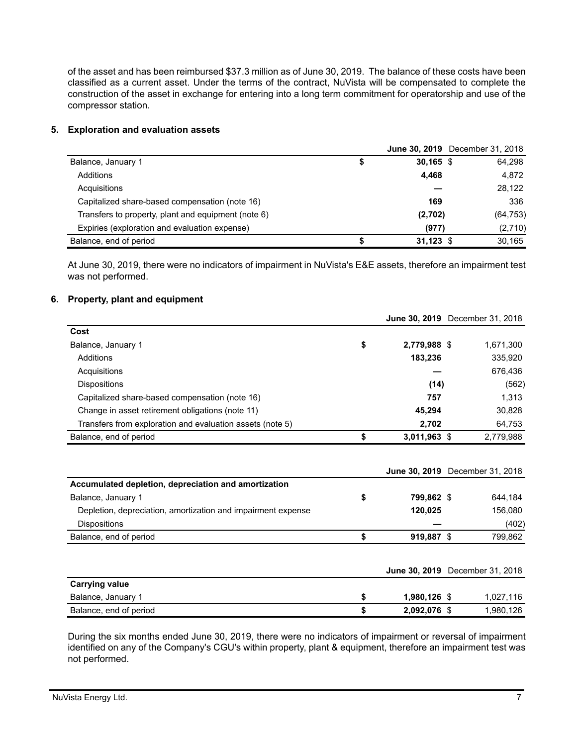of the asset and has been reimbursed \$37.3 million as of June 30, 2019. The balance of these costs have been classified as a current asset. Under the terms of the contract, NuVista will be compensated to complete the construction of the asset in exchange for entering into a long term commitment for operatorship and use of the compressor station.

# **5. Exploration and evaluation assets**

|                                                     |   |             | <b>June 30, 2019</b> December 31, 2018 |
|-----------------------------------------------------|---|-------------|----------------------------------------|
| Balance, January 1                                  | S | $30,165$ \$ | 64,298                                 |
| Additions                                           |   | 4.468       | 4,872                                  |
| Acquisitions                                        |   |             | 28,122                                 |
| Capitalized share-based compensation (note 16)      |   | 169         | 336                                    |
| Transfers to property, plant and equipment (note 6) |   | (2,702)     | (64, 753)                              |
| Expiries (exploration and evaluation expense)       |   | (977)       | (2,710)                                |
| Balance, end of period                              |   | $31,123$ \$ | 30.165                                 |

At June 30, 2019, there were no indicators of impairment in NuVista's E&E assets, therefore an impairment test was not performed.

#### **6. Property, plant and equipment**

|                                                           |    |                | <b>June 30, 2019</b> December 31, 2018 |
|-----------------------------------------------------------|----|----------------|----------------------------------------|
| Cost                                                      |    |                |                                        |
| Balance, January 1                                        | \$ | 2,779,988 \$   | 1,671,300                              |
| Additions                                                 |    | 183,236        | 335,920                                |
| Acquisitions                                              |    |                | 676,436                                |
| <b>Dispositions</b>                                       |    | (14)           | (562)                                  |
| Capitalized share-based compensation (note 16)            |    | 757            | 1,313                                  |
| Change in asset retirement obligations (note 11)          |    | 45.294         | 30,828                                 |
| Transfers from exploration and evaluation assets (note 5) |    | 2,702          | 64,753                                 |
| Balance, end of period                                    | S  | $3,011,963$ \$ | 2,779,988                              |
|                                                           |    |                |                                        |

|                                                              |                      | <b>June 30, 2019</b> December 31, 2018 |
|--------------------------------------------------------------|----------------------|----------------------------------------|
| Accumulated depletion, depreciation and amortization         |                      |                                        |
| Balance, January 1                                           | \$<br>799,862 \$     | 644,184                                |
| Depletion, depreciation, amortization and impairment expense | 120,025              | 156,080                                |
| <b>Dispositions</b>                                          |                      | (402)                                  |
| Balance, end of period                                       | \$<br>919,887 \$     | 799,862                                |
|                                                              |                      |                                        |
|                                                              |                      | <b>June 30, 2019</b> December 31, 2018 |
| <b>Carrying value</b>                                        |                      |                                        |
| Balance, January 1                                           | \$<br>$1,980,126$ \$ | 1,027,116                              |
| Balance, end of period                                       | \$<br>2.092.076 \$   | 1,980,126                              |

During the six months ended June 30, 2019, there were no indicators of impairment or reversal of impairment identified on any of the Company's CGU's within property, plant & equipment, therefore an impairment test was not performed.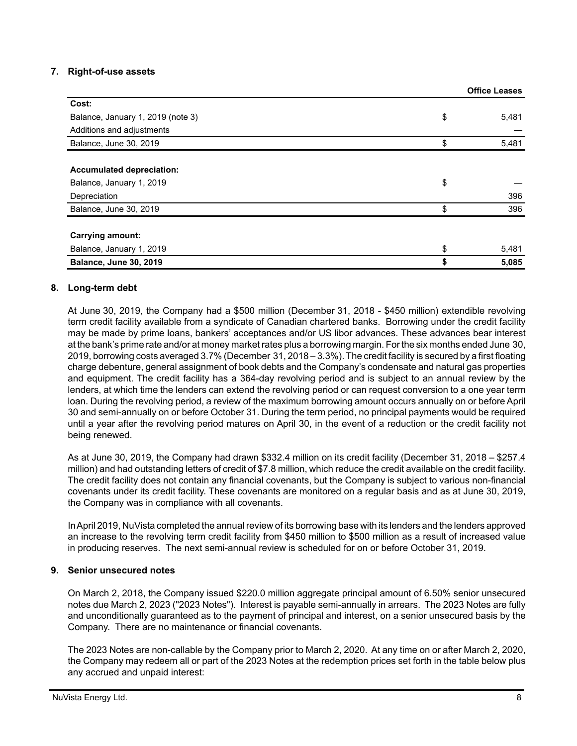# **7. Right-of-use assets**

|                                   | <b>Office Leases</b> |
|-----------------------------------|----------------------|
| Cost:                             |                      |
| Balance, January 1, 2019 (note 3) | \$<br>5,481          |
| Additions and adjustments         |                      |
| Balance, June 30, 2019            | \$<br>5,481          |
|                                   |                      |
| <b>Accumulated depreciation:</b>  |                      |
| Balance, January 1, 2019          | \$                   |
| Depreciation                      | 396                  |
| Balance, June 30, 2019            | \$<br>396            |
|                                   |                      |
| <b>Carrying amount:</b>           |                      |
| Balance, January 1, 2019          | \$<br>5,481          |
| <b>Balance, June 30, 2019</b>     | \$<br>5,085          |

# **8. Long-term debt**

At June 30, 2019, the Company had a \$500 million (December 31, 2018 - \$450 million) extendible revolving term credit facility available from a syndicate of Canadian chartered banks. Borrowing under the credit facility may be made by prime loans, bankers' acceptances and/or US libor advances. These advances bear interest at the bank's prime rate and/or at money market rates plus a borrowing margin. For the six months ended June 30, 2019, borrowing costs averaged 3.7% (December 31, 2018 – 3.3%). The credit facility is secured by a first floating charge debenture, general assignment of book debts and the Company's condensate and natural gas properties and equipment. The credit facility has a 364-day revolving period and is subject to an annual review by the lenders, at which time the lenders can extend the revolving period or can request conversion to a one year term loan. During the revolving period, a review of the maximum borrowing amount occurs annually on or before April 30 and semi-annually on or before October 31. During the term period, no principal payments would be required until a year after the revolving period matures on April 30, in the event of a reduction or the credit facility not being renewed.

As at June 30, 2019, the Company had drawn \$332.4 million on its credit facility (December 31, 2018 – \$257.4 million) and had outstanding letters of credit of \$7.8 million, which reduce the credit available on the credit facility. The credit facility does not contain any financial covenants, but the Company is subject to various non-financial covenants under its credit facility. These covenants are monitored on a regular basis and as at June 30, 2019, the Company was in compliance with all covenants.

In April 2019, NuVista completed the annual review of its borrowing base with its lenders and the lenders approved an increase to the revolving term credit facility from \$450 million to \$500 million as a result of increased value in producing reserves. The next semi-annual review is scheduled for on or before October 31, 2019.

# **9. Senior unsecured notes**

On March 2, 2018, the Company issued \$220.0 million aggregate principal amount of 6.50% senior unsecured notes due March 2, 2023 ("2023 Notes"). Interest is payable semi-annually in arrears. The 2023 Notes are fully and unconditionally guaranteed as to the payment of principal and interest, on a senior unsecured basis by the Company. There are no maintenance or financial covenants.

The 2023 Notes are non-callable by the Company prior to March 2, 2020. At any time on or after March 2, 2020, the Company may redeem all or part of the 2023 Notes at the redemption prices set forth in the table below plus any accrued and unpaid interest: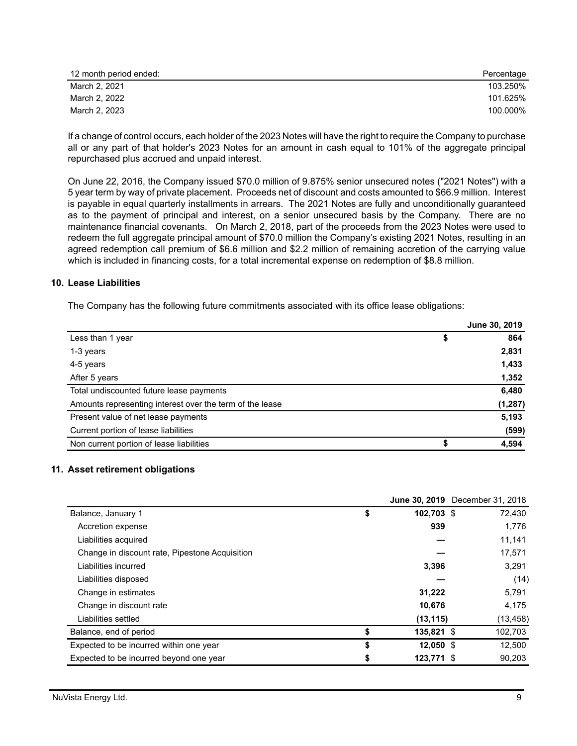| 12 month period ended: | Percentage |
|------------------------|------------|
| March 2, 2021          | 103.250%   |
| March 2, 2022          | 101.625%   |
| March 2, 2023          | 100.000%   |

If a change of control occurs, each holder of the 2023 Notes will have the right to require the Company to purchase all or any part of that holder's 2023 Notes for an amount in cash equal to 101% of the aggregate principal repurchased plus accrued and unpaid interest.

On June 22, 2016, the Company issued \$70.0 million of 9.875% senior unsecured notes ("2021 Notes") with a 5 year term by way of private placement. Proceeds net of discount and costs amounted to \$66.9 million. Interest is payable in equal quarterly installments in arrears. The 2021 Notes are fully and unconditionally guaranteed as to the payment of principal and interest, on a senior unsecured basis by the Company. There are no maintenance financial covenants. On March 2, 2018, part of the proceeds from the 2023 Notes were used to redeem the full aggregate principal amount of \$70.0 million the Company's existing 2021 Notes, resulting in an agreed redemption call premium of \$6.6 million and \$2.2 million of remaining accretion of the carrying value which is included in financing costs, for a total incremental expense on redemption of \$8.8 million.

#### **10. Lease Liabilities**

The Company has the following future commitments associated with its office lease obligations:

|                                                          | June 30, 2019 |
|----------------------------------------------------------|---------------|
| Less than 1 year                                         | 864<br>\$     |
| 1-3 years                                                | 2,831         |
| 4-5 years                                                | 1,433         |
| After 5 years                                            | 1,352         |
| Total undiscounted future lease payments                 | 6,480         |
| Amounts representing interest over the term of the lease | (1, 287)      |
| Present value of net lease payments                      | 5,193         |
| Current portion of lease liabilities                     | (599)         |
| Non current portion of lease liabilities                 | 4,594         |

# **11. Asset retirement obligations**

|                                                |                   | June 30, 2019 December 31, 2018 |
|------------------------------------------------|-------------------|---------------------------------|
| Balance, January 1                             | \$<br>102.703 \$  | 72,430                          |
| Accretion expense                              | 939               | 1,776                           |
| Liabilities acquired                           |                   | 11,141                          |
| Change in discount rate, Pipestone Acquisition |                   | 17,571                          |
| Liabilities incurred                           | 3,396             | 3,291                           |
| Liabilities disposed                           |                   | (14)                            |
| Change in estimates                            | 31.222            | 5,791                           |
| Change in discount rate                        | 10,676            | 4,175                           |
| Liabilities settled                            | (13, 115)         | (13, 458)                       |
| Balance, end of period                         | \$<br>135,821 \$  | 102,703                         |
| Expected to be incurred within one year        | \$<br>$12,050$ \$ | 12,500                          |
| Expected to be incurred beyond one year        | \$<br>123.771 \$  | 90.203                          |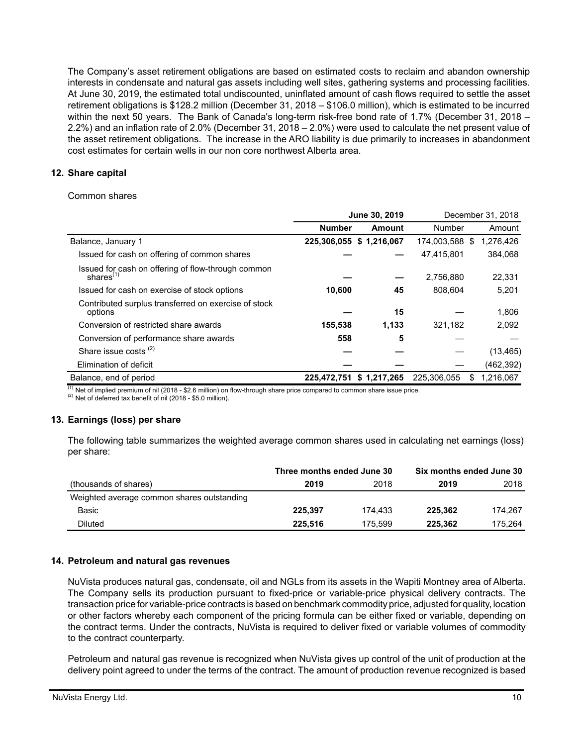The Company's asset retirement obligations are based on estimated costs to reclaim and abandon ownership interests in condensate and natural gas assets including well sites, gathering systems and processing facilities. At June 30, 2019, the estimated total undiscounted, uninflated amount of cash flows required to settle the asset retirement obligations is \$128.2 million (December 31, 2018 – \$106.0 million), which is estimated to be incurred within the next 50 years. The Bank of Canada's long-term risk-free bond rate of 1.7% (December 31, 2018 – 2.2%) and an inflation rate of 2.0% (December 31, 2018 – 2.0%) were used to calculate the net present value of the asset retirement obligations. The increase in the ARO liability is due primarily to increases in abandonment cost estimates for certain wells in our non core northwest Alberta area.

# **12. Share capital**

Common shares

|                                                                    | June 30, 2019 |                          |             | December 31, 2018 |
|--------------------------------------------------------------------|---------------|--------------------------|-------------|-------------------|
|                                                                    | <b>Number</b> | Amount                   | Number      | Amount            |
| Balance, January 1                                                 |               | 225,306,055 \$ 1,216,067 | 174,003,588 | 1,276,426<br>- \$ |
| Issued for cash on offering of common shares                       |               |                          | 47,415,801  | 384,068           |
| Issued for cash on offering of flow-through common<br>shares $(1)$ |               |                          | 2,756,880   | 22,331            |
| Issued for cash on exercise of stock options                       | 10,600        | 45                       | 808,604     | 5,201             |
| Contributed surplus transferred on exercise of stock<br>options    |               | 15                       |             | 1,806             |
| Conversion of restricted share awards                              | 155,538       | 1,133                    | 321,182     | 2,092             |
| Conversion of performance share awards                             | 558           | 5                        |             |                   |
| Share issue costs $(2)$                                            |               |                          |             | (13, 465)         |
| Elimination of deficit                                             |               |                          |             | (462, 392)        |
| Balance, end of period                                             | 225,472,751   | \$1,217,265              | 225,306,055 | 1,216,067<br>S    |

 $(1)$  Net of implied premium of nil (2018 - \$2.6 million) on flow-through share price compared to common share issue price.

 $(2)$  Net of deferred tax benefit of nil (2018 - \$5.0 million).

# **13. Earnings (loss) per share**

The following table summarizes the weighted average common shares used in calculating net earnings (loss) per share:

|                                            | Three months ended June 30 |         | Six months ended June 30 |         |  |
|--------------------------------------------|----------------------------|---------|--------------------------|---------|--|
| (thousands of shares)                      | 2019                       | 2018    | 2019                     | 2018    |  |
| Weighted average common shares outstanding |                            |         |                          |         |  |
| Basic                                      | 225.397                    | 174.433 | 225.362                  | 174.267 |  |
| Diluted                                    | 225.516                    | 175.599 | 225.362                  | 175.264 |  |

# **14. Petroleum and natural gas revenues**

NuVista produces natural gas, condensate, oil and NGLs from its assets in the Wapiti Montney area of Alberta. The Company sells its production pursuant to fixed-price or variable-price physical delivery contracts. The transaction price for variable-price contracts is based on benchmark commodity price, adjusted for quality, location or other factors whereby each component of the pricing formula can be either fixed or variable, depending on the contract terms. Under the contracts, NuVista is required to deliver fixed or variable volumes of commodity to the contract counterparty.

Petroleum and natural gas revenue is recognized when NuVista gives up control of the unit of production at the delivery point agreed to under the terms of the contract. The amount of production revenue recognized is based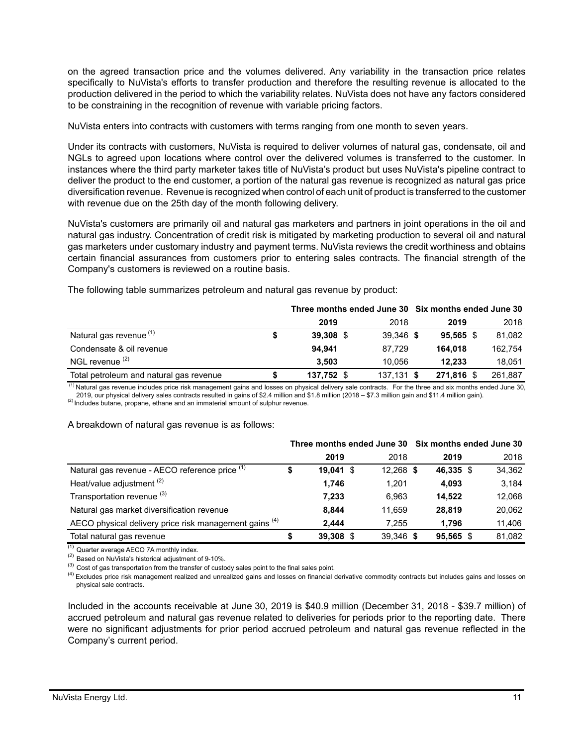on the agreed transaction price and the volumes delivered. Any variability in the transaction price relates specifically to NuVista's efforts to transfer production and therefore the resulting revenue is allocated to the production delivered in the period to which the variability relates. NuVista does not have any factors considered to be constraining in the recognition of revenue with variable pricing factors.

NuVista enters into contracts with customers with terms ranging from one month to seven years.

Under its contracts with customers, NuVista is required to deliver volumes of natural gas, condensate, oil and NGLs to agreed upon locations where control over the delivered volumes is transferred to the customer. In instances where the third party marketer takes title of NuVista's product but uses NuVista's pipeline contract to deliver the product to the end customer, a portion of the natural gas revenue is recognized as natural gas price diversification revenue. Revenue is recognized when control of each unit of product is transferred to the customer with revenue due on the 25th day of the month following delivery.

NuVista's customers are primarily oil and natural gas marketers and partners in joint operations in the oil and natural gas industry. Concentration of credit risk is mitigated by marketing production to several oil and natural gas marketers under customary industry and payment terms. NuVista reviews the credit worthiness and obtains certain financial assurances from customers prior to entering sales contracts. The financial strength of the Company's customers is reviewed on a routine basis.

|                                         | Three months ended June 30 Six months ended June 30 |  |              |             |  |         |
|-----------------------------------------|-----------------------------------------------------|--|--------------|-------------|--|---------|
|                                         | 2019                                                |  | 2018         | 2019        |  | 2018    |
| Natural gas revenue <sup>(1)</sup>      | 39.308 \$                                           |  | 39.346 \$    | $95.565$ \$ |  | 81,082  |
| Condensate & oil revenue                | 94.941                                              |  | 87.729       | 164.018     |  | 162.754 |
| NGL revenue <sup>(2)</sup>              | 3.503                                               |  | 10.056       | 12.233      |  | 18.051  |
| Total petroleum and natural gas revenue | 137,752 \$                                          |  | $137.131$ \$ | 271.816 \$  |  | 261.887 |

The following table summarizes petroleum and natural gas revenue by product:

(1) Natural gas revenue includes price risk management gains and losses on physical delivery sale contracts. For the three and six months ended June 30, 2019, our physical delivery sales contracts resulted in gains of \$2.4 million and \$1.8 million (2018 – \$7.3 million gain and \$11.4 million gain).

<sup>(2)</sup> Includes butane, propane, ethane and an immaterial amount of sulphur revenue.

# A breakdown of natural gas revenue is as follows:

|                                                        | Three months ended June 30 Six months ended June 30 |             |             |             |        |
|--------------------------------------------------------|-----------------------------------------------------|-------------|-------------|-------------|--------|
|                                                        |                                                     | 2019        | 2018        | 2019        | 2018   |
| Natural gas revenue - AECO reference price (1)         | \$                                                  | $19,041$ \$ | $12.268$ \$ | 46,335 \$   | 34,362 |
| Heat/value adjustment <sup>(2)</sup>                   |                                                     | 1,746       | 1.201       | 4,093       | 3.184  |
| Transportation revenue (3)                             |                                                     | 7.233       | 6.963       | 14.522      | 12,068 |
| Natural gas market diversification revenue             |                                                     | 8.844       | 11.659      | 28.819      | 20,062 |
| AECO physical delivery price risk management gains (4) |                                                     | 2.444       | 7.255       | 1.796       | 11,406 |
| Total natural gas revenue                              |                                                     | 39,308 \$   | 39,346 \$   | $95.565$ \$ | 81,082 |

 $(1)$  Quarter average AECO 7A monthly index.

(2) Based on NuVista's historical adjustment of 9-10%.

 $^{(3)}$  Cost of gas transportation from the transfer of custody sales point to the final sales point.

<sup>(4)</sup> Excludes price risk management realized and unrealized gains and losses on financial derivative commodity contracts but includes gains and losses on physical sale contracts.

Included in the accounts receivable at June 30, 2019 is \$40.9 million (December 31, 2018 - \$39.7 million) of accrued petroleum and natural gas revenue related to deliveries for periods prior to the reporting date. There were no significant adjustments for prior period accrued petroleum and natural gas revenue reflected in the Company's current period.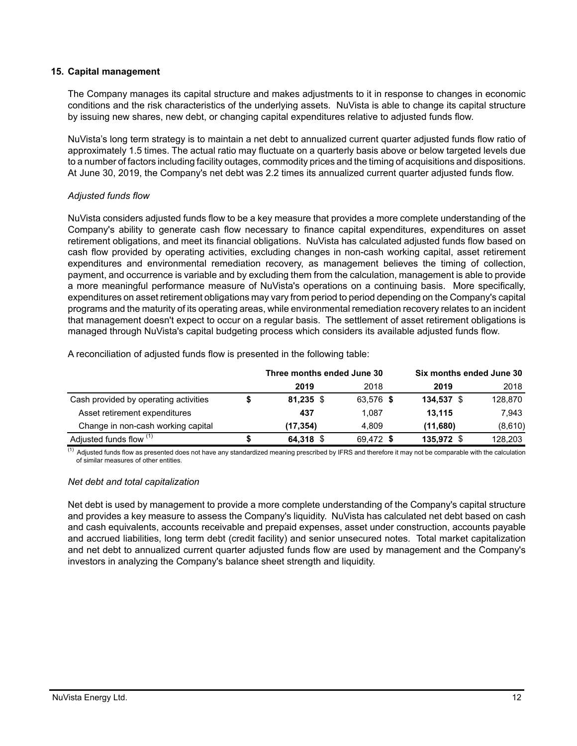#### **15. Capital management**

The Company manages its capital structure and makes adjustments to it in response to changes in economic conditions and the risk characteristics of the underlying assets. NuVista is able to change its capital structure by issuing new shares, new debt, or changing capital expenditures relative to adjusted funds flow.

NuVista's long term strategy is to maintain a net debt to annualized current quarter adjusted funds flow ratio of approximately 1.5 times. The actual ratio may fluctuate on a quarterly basis above or below targeted levels due to a number of factors including facility outages, commodity prices and the timing of acquisitions and dispositions. At June 30, 2019, the Company's net debt was 2.2 times its annualized current quarter adjusted funds flow.

# *Adjusted funds flow*

NuVista considers adjusted funds flow to be a key measure that provides a more complete understanding of the Company's ability to generate cash flow necessary to finance capital expenditures, expenditures on asset retirement obligations, and meet its financial obligations. NuVista has calculated adjusted funds flow based on cash flow provided by operating activities, excluding changes in non-cash working capital, asset retirement expenditures and environmental remediation recovery, as management believes the timing of collection, payment, and occurrence is variable and by excluding them from the calculation, management is able to provide a more meaningful performance measure of NuVista's operations on a continuing basis. More specifically, expenditures on asset retirement obligations may vary from period to period depending on the Company's capital programs and the maturity of its operating areas, while environmental remediation recovery relates to an incident that management doesn't expect to occur on a regular basis. The settlement of asset retirement obligations is managed through NuVista's capital budgeting process which considers its available adjusted funds flow.

|  | A reconciliation of adjusted funds flow is presented in the following table: |  |  |
|--|------------------------------------------------------------------------------|--|--|
|--|------------------------------------------------------------------------------|--|--|

|                                       | Three months ended June 30 |           | Six months ended June 30 |         |
|---------------------------------------|----------------------------|-----------|--------------------------|---------|
|                                       | 2019                       | 2018      | 2019                     | 2018    |
| Cash provided by operating activities | $81,235$ \$                | 63,576 \$ | 134,537 \$               | 128,870 |
| Asset retirement expenditures         | 437                        | 1.087     | 13.115                   | 7.943   |
| Change in non-cash working capital    | (17, 354)                  | 4.809     | (11,680)                 | (8,610) |
| Adjusted funds flow (1)               | 64,318 \$                  | 69,472 \$ | 135,972 \$               | 128,203 |

 $\overline{^{(1)}}$  Adjusted funds flow as presented does not have any standardized meaning prescribed by IFRS and therefore it may not be comparable with the calculation of similar measures of other entities.

#### *Net debt and total capitalization*

Net debt is used by management to provide a more complete understanding of the Company's capital structure and provides a key measure to assess the Company's liquidity. NuVista has calculated net debt based on cash and cash equivalents, accounts receivable and prepaid expenses, asset under construction, accounts payable and accrued liabilities, long term debt (credit facility) and senior unsecured notes. Total market capitalization and net debt to annualized current quarter adjusted funds flow are used by management and the Company's investors in analyzing the Company's balance sheet strength and liquidity.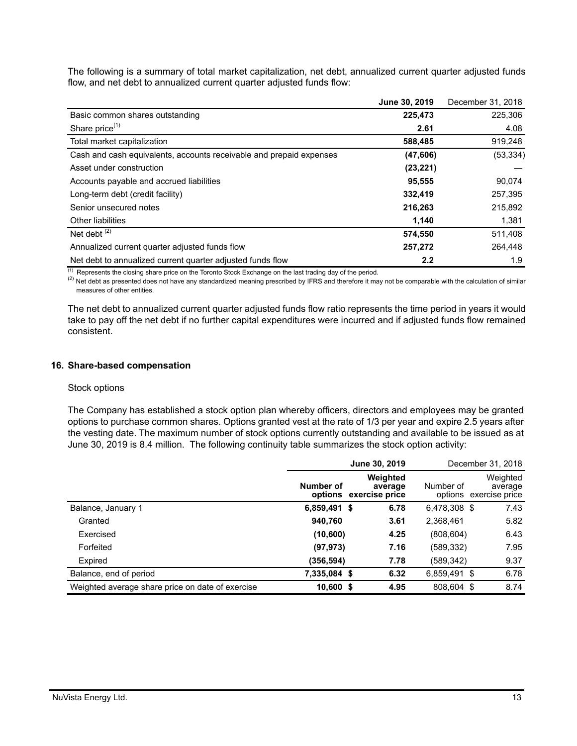The following is a summary of total market capitalization, net debt, annualized current quarter adjusted funds flow, and net debt to annualized current quarter adjusted funds flow:

|                                                                     | June 30, 2019    | December 31, 2018 |
|---------------------------------------------------------------------|------------------|-------------------|
| Basic common shares outstanding                                     | 225,473          | 225,306           |
| Share price <sup>(1)</sup>                                          | 2.61             | 4.08              |
| Total market capitalization                                         | 588,485          | 919,248           |
| Cash and cash equivalents, accounts receivable and prepaid expenses | (47, 606)        | (53, 334)         |
| Asset under construction                                            | (23, 221)        |                   |
| Accounts payable and accrued liabilities                            | 95,555           | 90,074            |
| Long-term debt (credit facility)                                    | 332,419          | 257,395           |
| Senior unsecured notes                                              | 216,263          | 215,892           |
| <b>Other liabilities</b>                                            | 1,140            | 1,381             |
| Net debt $(2)$                                                      | 574,550          | 511,408           |
| Annualized current quarter adjusted funds flow                      | 257,272          | 264,448           |
| Net debt to annualized current quarter adjusted funds flow          | $2.2\phantom{0}$ | 1.9               |

 $(1)$  Represents the closing share price on the Toronto Stock Exchange on the last trading day of the period.

<sup>(2)</sup> Net debt as presented does not have any standardized meaning prescribed by IFRS and therefore it may not be comparable with the calculation of similar measures of other entities.

The net debt to annualized current quarter adjusted funds flow ratio represents the time period in years it would take to pay off the net debt if no further capital expenditures were incurred and if adjusted funds flow remained consistent.

#### **16. Share-based compensation**

#### Stock options

The Company has established a stock option plan whereby officers, directors and employees may be granted options to purchase common shares. Options granted vest at the rate of 1/3 per year and expire 2.5 years after the vesting date. The maximum number of stock options currently outstanding and available to be issued as at June 30, 2019 is 8.4 million. The following continuity table summarizes the stock option activity:

|                                                  | June 30, 2019                       |                     |              | December 31, 2018                             |
|--------------------------------------------------|-------------------------------------|---------------------|--------------|-----------------------------------------------|
|                                                  | Number of<br>options exercise price | Weighted<br>average | Number of    | Weighted<br>average<br>options exercise price |
| Balance, January 1                               | 6,859,491 \$                        | 6.78                | 6,478,308 \$ | 7.43                                          |
| Granted                                          | 940,760                             | 3.61                | 2,368,461    | 5.82                                          |
| Exercised                                        | (10, 600)                           | 4.25                | (808, 604)   | 6.43                                          |
| Forfeited                                        | (97, 973)                           | 7.16                | (589,332)    | 7.95                                          |
| Expired                                          | (356, 594)                          | 7.78                | (589,342)    | 9.37                                          |
| Balance, end of period                           | 7,335,084 \$                        | 6.32                | 6,859,491 \$ | 6.78                                          |
| Weighted average share price on date of exercise | $10,600$ \$                         | 4.95                | 808.604 \$   | 8.74                                          |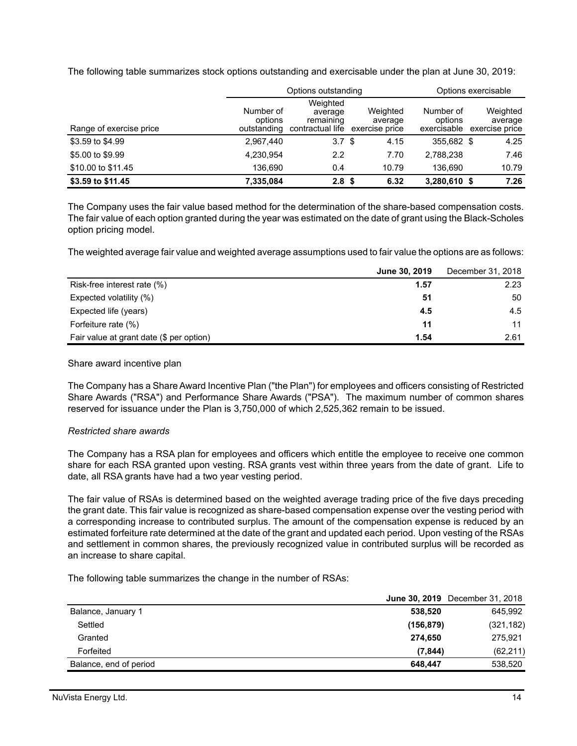The following table summarizes stock options outstanding and exercisable under the plan at June 30, 2019:

|                         | Options outstanding                 |                                                      |                                       |                                     | Options exercisable                   |  |  |
|-------------------------|-------------------------------------|------------------------------------------------------|---------------------------------------|-------------------------------------|---------------------------------------|--|--|
| Range of exercise price | Number of<br>options<br>outstanding | Weighted<br>average<br>remaining<br>contractual life | Weighted<br>average<br>exercise price | Number of<br>options<br>exercisable | Weighted<br>average<br>exercise price |  |  |
| \$3.59 to \$4.99        | 2.967.440                           | 3.7 <sup>5</sup>                                     | 4.15                                  | 355.682 \$                          | 4.25                                  |  |  |
| \$5.00 to \$9.99        | 4.230.954                           | 2.2                                                  | 7.70                                  | 2.788.238                           | 7.46                                  |  |  |
| \$10.00 to \$11.45      | 136.690                             | 0.4                                                  | 10.79                                 | 136.690                             | 10.79                                 |  |  |
| \$3.59 to \$11.45       | 7.335.084                           | 2.8 <sup>5</sup>                                     | 6.32                                  | 3,280,610 \$                        | 7.26                                  |  |  |

The Company uses the fair value based method for the determination of the share-based compensation costs. The fair value of each option granted during the year was estimated on the date of grant using the Black-Scholes option pricing model.

The weighted average fair value and weighted average assumptions used to fair value the options are as follows:

|                                          | June 30, 2019 | December 31, 2018 |
|------------------------------------------|---------------|-------------------|
| Risk-free interest rate (%)              | 1.57          | 2.23              |
| Expected volatility (%)                  | 51            | 50                |
| Expected life (years)                    | 4.5           | 4.5               |
| Forfeiture rate (%)                      | 11            | 11                |
| Fair value at grant date (\$ per option) | 1.54          | 2.61              |

Share award incentive plan

The Company has a Share Award Incentive Plan ("the Plan") for employees and officers consisting of Restricted Share Awards ("RSA") and Performance Share Awards ("PSA"). The maximum number of common shares reserved for issuance under the Plan is 3,750,000 of which 2,525,362 remain to be issued.

#### *Restricted share awards*

The Company has a RSA plan for employees and officers which entitle the employee to receive one common share for each RSA granted upon vesting. RSA grants vest within three years from the date of grant. Life to date, all RSA grants have had a two year vesting period.

The fair value of RSAs is determined based on the weighted average trading price of the five days preceding the grant date. This fair value is recognized as share-based compensation expense over the vesting period with a corresponding increase to contributed surplus. The amount of the compensation expense is reduced by an estimated forfeiture rate determined at the date of the grant and updated each period. Upon vesting of the RSAs and settlement in common shares, the previously recognized value in contributed surplus will be recorded as an increase to share capital.

The following table summarizes the change in the number of RSAs:

|                        |            | <b>June 30, 2019</b> December 31, 2018 |
|------------------------|------------|----------------------------------------|
| Balance, January 1     | 538,520    | 645,992                                |
| Settled                | (156, 879) | (321, 182)                             |
| Granted                | 274.650    | 275.921                                |
| Forfeited              | (7.844)    | (62, 211)                              |
| Balance, end of period | 648.447    | 538,520                                |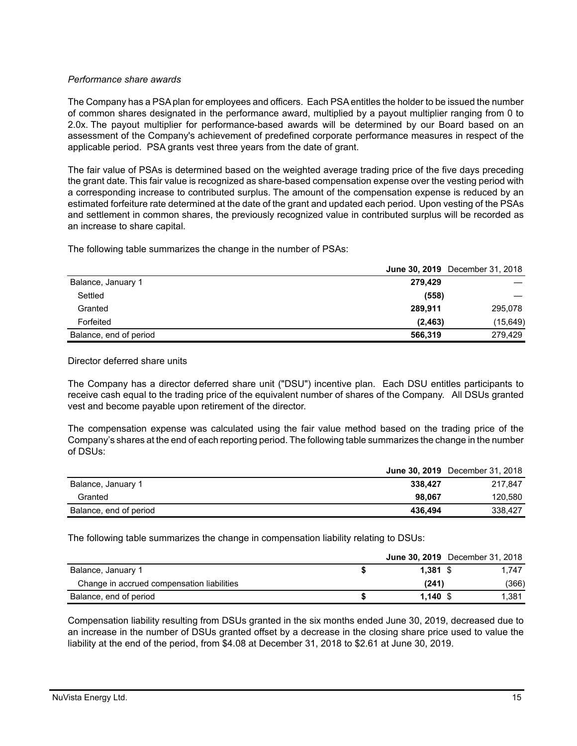# *Performance share awards*

The Company has a PSA plan for employees and officers. Each PSA entitles the holder to be issued the number of common shares designated in the performance award, multiplied by a payout multiplier ranging from 0 to 2.0x. The payout multiplier for performance-based awards will be determined by our Board based on an assessment of the Company's achievement of predefined corporate performance measures in respect of the applicable period. PSA grants vest three years from the date of grant.

The fair value of PSAs is determined based on the weighted average trading price of the five days preceding the grant date. This fair value is recognized as share-based compensation expense over the vesting period with a corresponding increase to contributed surplus. The amount of the compensation expense is reduced by an estimated forfeiture rate determined at the date of the grant and updated each period. Upon vesting of the PSAs and settlement in common shares, the previously recognized value in contributed surplus will be recorded as an increase to share capital.

The following table summarizes the change in the number of PSAs:

|                        | <b>June 30, 2019</b> December 31, 2018 |          |
|------------------------|----------------------------------------|----------|
| Balance, January 1     | 279.429                                |          |
| Settled                | (558)                                  |          |
| Granted                | 289.911                                | 295,078  |
| Forfeited              | (2, 463)                               | (15,649) |
| Balance, end of period | 566,319                                | 279.429  |

Director deferred share units

The Company has a director deferred share unit ("DSU") incentive plan. Each DSU entitles participants to receive cash equal to the trading price of the equivalent number of shares of the Company. All DSUs granted vest and become payable upon retirement of the director.

The compensation expense was calculated using the fair value method based on the trading price of the Company's shares at the end of each reporting period. The following table summarizes the change in the number of DSUs:

|                        |         | <b>June 30, 2019</b> December 31, 2018 |
|------------------------|---------|----------------------------------------|
| Balance, January 1     | 338.427 | 217.847                                |
| Granted                | 98.067  | 120.580                                |
| Balance, end of period | 436.494 | 338,427                                |

The following table summarizes the change in compensation liability relating to DSUs:

|                                            |            | <b>June 30, 2019</b> December 31, 2018 |
|--------------------------------------------|------------|----------------------------------------|
| Balance, January 1                         | $1.381$ \$ | 1.747                                  |
| Change in accrued compensation liabilities | (241)      | (366)                                  |
| Balance, end of period                     | $1.140$ \$ | 1.381                                  |

Compensation liability resulting from DSUs granted in the six months ended June 30, 2019, decreased due to an increase in the number of DSUs granted offset by a decrease in the closing share price used to value the liability at the end of the period, from \$4.08 at December 31, 2018 to \$2.61 at June 30, 2019.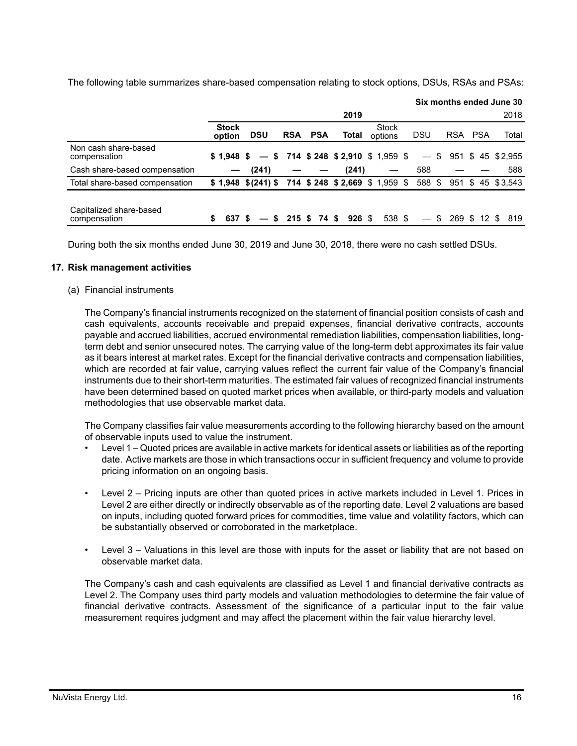The following table summarizes share-based compensation relating to stock options, DSUs, RSAs and PSAs:

|                                         |                        |                                                      |            |            |          |                                     |            |                                       |            |           | Six months ended June 30 |
|-----------------------------------------|------------------------|------------------------------------------------------|------------|------------|----------|-------------------------------------|------------|---------------------------------------|------------|-----------|--------------------------|
|                                         |                        |                                                      |            |            | 2019     |                                     |            |                                       |            |           | 2018                     |
|                                         | <b>Stock</b><br>option | <b>DSU</b>                                           | <b>RSA</b> | <b>PSA</b> | Total    | <b>Stock</b><br>options             | <b>DSU</b> |                                       | <b>RSA</b> | PSA       | Total                    |
| Non cash share-based<br>compensation    | \$1.948 \$             |                                                      |            |            |          | $-$ \$ 714 \$248 \$2,910 \$1,959 \$ |            | S.<br>$\qquad \qquad -$               |            |           | 951 \$ 45 \$2.955        |
| Cash share-based compensation           |                        | (241)                                                |            |            | (241)    |                                     |            | 588                                   |            |           | 588                      |
| Total share-based compensation          |                        | $$1,948$ $$(241)$ \$ 714 \$ 248 \$ 2,669 \$ 1,959 \$ |            |            |          |                                     |            | 588 \$                                |            |           | 951 \$ 45 \$ 3.543       |
| Capitalized share-based<br>compensation | 637                    | S.                                                   | 215S       | 74 S       | $926$ \$ | 538 \$                              |            | S.<br>$\hspace{0.1mm}-\hspace{0.1mm}$ |            | 269 \$ 12 | 819                      |

During both the six months ended June 30, 2019 and June 30, 2018, there were no cash settled DSUs.

#### **17. Risk management activities**

#### (a) Financial instruments

The Company's financial instruments recognized on the statement of financial position consists of cash and cash equivalents, accounts receivable and prepaid expenses, financial derivative contracts, accounts payable and accrued liabilities, accrued environmental remediation liabilities, compensation liabilities, longterm debt and senior unsecured notes. The carrying value of the long-term debt approximates its fair value as it bears interest at market rates. Except for the financial derivative contracts and compensation liabilities, which are recorded at fair value, carrying values reflect the current fair value of the Company's financial instruments due to their short-term maturities. The estimated fair values of recognized financial instruments have been determined based on quoted market prices when available, or third-party models and valuation methodologies that use observable market data.

The Company classifies fair value measurements according to the following hierarchy based on the amount of observable inputs used to value the instrument.

- Level 1 Quoted prices are available in active markets for identical assets or liabilities as of the reporting date. Active markets are those in which transactions occur in sufficient frequency and volume to provide pricing information on an ongoing basis.
- Level 2 Pricing inputs are other than quoted prices in active markets included in Level 1. Prices in Level 2 are either directly or indirectly observable as of the reporting date. Level 2 valuations are based on inputs, including quoted forward prices for commodities, time value and volatility factors, which can be substantially observed or corroborated in the marketplace.
- Level 3 Valuations in this level are those with inputs for the asset or liability that are not based on observable market data.

The Company's cash and cash equivalents are classified as Level 1 and financial derivative contracts as Level 2. The Company uses third party models and valuation methodologies to determine the fair value of financial derivative contracts. Assessment of the significance of a particular input to the fair value measurement requires judgment and may affect the placement within the fair value hierarchy level.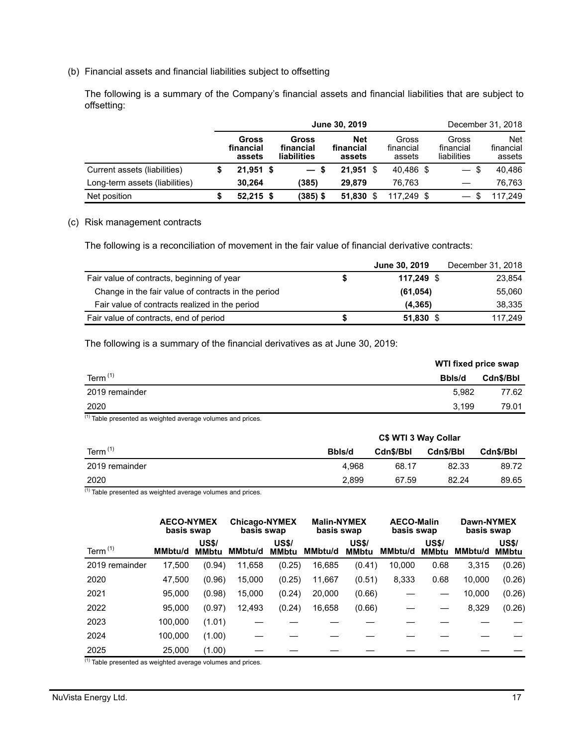(b) Financial assets and financial liabilities subject to offsetting

The following is a summary of the Company's financial assets and financial liabilities that are subject to offsetting:

|                                | June 30, 2019 |                              |  |                                   |                                   |  |                              |                                   | December 31, 2018                 |
|--------------------------------|---------------|------------------------------|--|-----------------------------------|-----------------------------------|--|------------------------------|-----------------------------------|-----------------------------------|
|                                |               | Gross<br>financial<br>assets |  | Gross<br>financial<br>liabilities | <b>Net</b><br>financial<br>assets |  | Gross<br>financial<br>assets | Gross<br>financial<br>liabilities | <b>Net</b><br>financial<br>assets |
| Current assets (liabilities)   |               | $21,951$ \$                  |  | $-s$                              | $21.951$ \$                       |  | 40.486 \$                    | $-$ \$                            | 40.486                            |
| Long-term assets (liabilities) |               | 30.264                       |  | (385)                             | 29.879                            |  | 76.763                       |                                   | 76.763                            |
| Net position                   |               | $52,215$ \$                  |  | (385) \$                          | 51.830                            |  | 117.249 \$                   | \$                                | 117.249                           |

#### (c) Risk management contracts

The following is a reconciliation of movement in the fair value of financial derivative contracts:

|                                                     |   | June 30, 2019 | December 31, 2018 |
|-----------------------------------------------------|---|---------------|-------------------|
| Fair value of contracts, beginning of year          | S | 117.249 \$    | 23,854            |
| Change in the fair value of contracts in the period |   | (61, 054)     | 55,060            |
| Fair value of contracts realized in the period      |   | (4, 365)      | 38,335            |
| Fair value of contracts, end of period              | S | $51,830$ \$   | 117.249           |

The following is a summary of the financial derivatives as at June 30, 2019:

|                | <b>WTI fixed price swap</b> |           |  |
|----------------|-----------------------------|-----------|--|
| Term $(1)$     | Bbls/d                      | Cdn\$/Bbl |  |
| 2019 remainder | 5.982                       | 77.62     |  |
| 2020           | 3.199                       | 79.01     |  |
| (4)            |                             |           |  |

 $(1)$  Table presented as weighted average volumes and prices.

|                | C\$ WTI 3 Way Collar |           |           |                  |  |  |
|----------------|----------------------|-----------|-----------|------------------|--|--|
| Term $(1)$     | Bbls/d               | Cdn\$/Bbl | Cdn\$/Bbl | <b>Cdn\$/Bbl</b> |  |  |
| 2019 remainder | 4.968                | 68.17     | 82.33     | 89.72            |  |  |
| 2020           | 2.899                | 67.59     | 82.24     | 89.65            |  |  |

(1) Table presented as weighted average volumes and prices.

|                |                | <b>AECO-NYMEX</b><br>basis swap |         | <b>Chicago-NYMEX</b><br>basis swap |                | <b>Malin-NYMEX</b><br>basis swap |         | <b>AECO-Malin</b><br>basis swap | Dawn-NYMEX<br>basis swap |                              |
|----------------|----------------|---------------------------------|---------|------------------------------------|----------------|----------------------------------|---------|---------------------------------|--------------------------|------------------------------|
| Term $(1)$     | <b>MMbtu/d</b> | <b>US\$/</b><br><b>MMbtu</b>    | MMbtu/d | <b>US\$/</b><br><b>MMbtu</b>       | <b>MMbtu/d</b> | <b>US\$/</b><br><b>MMbtu</b>     | MMbtu/d | <b>US\$/</b><br><b>MMbtu</b>    | <b>MMbtu/d</b>           | <b>US\$/</b><br><b>MMbtu</b> |
| 2019 remainder | 17,500         | (0.94)                          | 11,658  | (0.25)                             | 16,685         | (0.41)                           | 10,000  | 0.68                            | 3,315                    | (0.26)                       |
| 2020           | 47.500         | (0.96)                          | 15,000  | (0.25)                             | 11,667         | (0.51)                           | 8,333   | 0.68                            | 10,000                   | (0.26)                       |
| 2021           | 95,000         | (0.98)                          | 15,000  | (0.24)                             | 20,000         | (0.66)                           |         |                                 | 10,000                   | (0.26)                       |
| 2022           | 95,000         | (0.97)                          | 12,493  | (0.24)                             | 16,658         | (0.66)                           |         |                                 | 8,329                    | (0.26)                       |
| 2023           | 100.000        | (1.01)                          |         |                                    |                |                                  |         |                                 |                          |                              |
| 2024           | 100,000        | (1.00)                          |         |                                    |                |                                  |         |                                 |                          |                              |
| 2025           | 25,000         | (1.00)                          |         |                                    |                |                                  |         |                                 |                          |                              |

(1) Table presented as weighted average volumes and prices.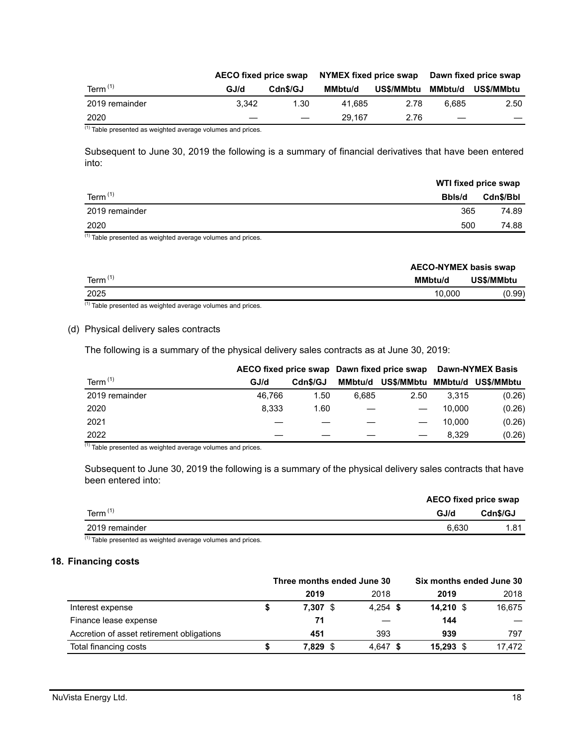|                | AECO fixed price swap |          | NYMEX fixed price swap |            | Dawn fixed price swap |            |  |
|----------------|-----------------------|----------|------------------------|------------|-----------------------|------------|--|
| Term $(1)$     | GJ/d                  | Cdn\$/GJ | MMbtu/d                | US\$/MMbtu | MMbtu/d               | US\$/MMbtu |  |
| 2019 remainder | 3.342                 | 1.30     | 41.685                 | 2.78       | 6.685                 | 2.50       |  |
| 2020           |                       |          | 29.167                 | 2.76       |                       |            |  |

 $(1)$  Table presented as weighted average volumes and prices.

Subsequent to June 30, 2019 the following is a summary of financial derivatives that have been entered into:

|                | WTI fixed price swap |           |
|----------------|----------------------|-----------|
| Term $(1)$     | Bbls/d               | Cdn\$/Bbl |
| 2019 remainder | 365                  | 74.89     |
| 2020           | 500                  | 74.88     |

(1) Table presented as weighted average volumes and prices.

| Term $(1)$<br>US\$/MMbtu<br><b>MMbtu/d</b> | <b>AECO-NYMEX basis swap</b> |
|--------------------------------------------|------------------------------|
|                                            |                              |
| 2025<br>10.000                             | (0.99)                       |

 $(1)$  Table presented as weighted average volumes and prices.

#### (d) Physical delivery sales contracts

The following is a summary of the physical delivery sales contracts as at June 30, 2019:

|                |        |          |         | AECO fixed price swap Dawn fixed price swap | <b>Dawn-NYMEX Basis</b> |            |  |
|----------------|--------|----------|---------|---------------------------------------------|-------------------------|------------|--|
| Term $(1)$     | GJ/d   | Cdn\$/GJ | MMbtu/d | US\$/MMbtu                                  | MMbtu/d                 | US\$/MMbtu |  |
| 2019 remainder | 46.766 | 1.50     | 6.685   | 2.50                                        | 3.315                   | (0.26)     |  |
| 2020           | 8.333  | 1.60     |         |                                             | 10.000                  | (0.26)     |  |
| 2021           |        |          |         |                                             | 10.000                  | (0.26)     |  |
| 2022           |        |          |         |                                             | 8.329                   | (0.26)     |  |

(1) Table presented as weighted average volumes and prices.

Subsequent to June 30, 2019 the following is a summary of the physical delivery sales contracts that have been entered into:

|                | <b>AECO fixed price swap</b> |          |  |
|----------------|------------------------------|----------|--|
| Term $(1)$     | GJ/d                         | Cdn\$/GJ |  |
| 2019 remainder | 6.630                        | 1.81     |  |

 $(1)$  Table presented as weighted average volumes and prices.

#### **18. Financing costs**

|                                           | Three months ended June 30 |       |            |  | Six months ended June 30 |  |        |
|-------------------------------------------|----------------------------|-------|------------|--|--------------------------|--|--------|
|                                           |                            | 2019  | 2018       |  | 2019                     |  | 2018   |
| Interest expense                          |                            | 7.307 | $4.254$ \$ |  | $14.210$ \$              |  | 16,675 |
| Finance lease expense                     |                            | 71    |            |  | 144                      |  |        |
| Accretion of asset retirement obligations |                            | 451   | 393        |  | 939                      |  | 797    |
| Total financing costs                     |                            | 7,829 | $4.647$ \$ |  | $15,293$ \$              |  | 17.472 |